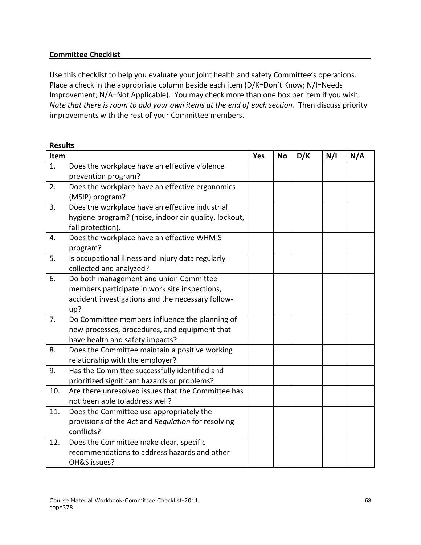### **Committee Checklist**

 Use this checklist to help you evaluate your joint health and safety Committee's operations. Place a check in the appropriate column beside each item (D/K=Don't Know; N/I=Needs Improvement; N/A=Not Applicable). You may check more than one box per item if you wish. Note that there is room to add your own items at the end of each section. Then discuss priority improvements with the rest of your Committee members.

| <b>Results</b> |                                                       |     |           |     |     |     |
|----------------|-------------------------------------------------------|-----|-----------|-----|-----|-----|
| Item           |                                                       | Yes | <b>No</b> | D/K | N/I | N/A |
| 1.             | Does the workplace have an effective violence         |     |           |     |     |     |
|                | prevention program?                                   |     |           |     |     |     |
| 2.             | Does the workplace have an effective ergonomics       |     |           |     |     |     |
|                | (MSIP) program?                                       |     |           |     |     |     |
| 3.             | Does the workplace have an effective industrial       |     |           |     |     |     |
|                | hygiene program? (noise, indoor air quality, lockout, |     |           |     |     |     |
|                | fall protection).                                     |     |           |     |     |     |
| 4.             | Does the workplace have an effective WHMIS            |     |           |     |     |     |
|                | program?                                              |     |           |     |     |     |
| 5.             | Is occupational illness and injury data regularly     |     |           |     |     |     |
|                | collected and analyzed?                               |     |           |     |     |     |
| 6.             | Do both management and union Committee                |     |           |     |     |     |
|                | members participate in work site inspections,         |     |           |     |     |     |
|                | accident investigations and the necessary follow-     |     |           |     |     |     |
|                | up?                                                   |     |           |     |     |     |
| 7.             | Do Committee members influence the planning of        |     |           |     |     |     |
|                | new processes, procedures, and equipment that         |     |           |     |     |     |
|                | have health and safety impacts?                       |     |           |     |     |     |
| 8.             | Does the Committee maintain a positive working        |     |           |     |     |     |
|                | relationship with the employer?                       |     |           |     |     |     |
| 9.             | Has the Committee successfully identified and         |     |           |     |     |     |
|                | prioritized significant hazards or problems?          |     |           |     |     |     |
| 10.            | Are there unresolved issues that the Committee has    |     |           |     |     |     |
|                | not been able to address well?                        |     |           |     |     |     |
| 11.            | Does the Committee use appropriately the              |     |           |     |     |     |
|                | provisions of the Act and Regulation for resolving    |     |           |     |     |     |
|                | conflicts?                                            |     |           |     |     |     |
| 12.            | Does the Committee make clear, specific               |     |           |     |     |     |
|                | recommendations to address hazards and other          |     |           |     |     |     |
|                | OH&S issues?                                          |     |           |     |     |     |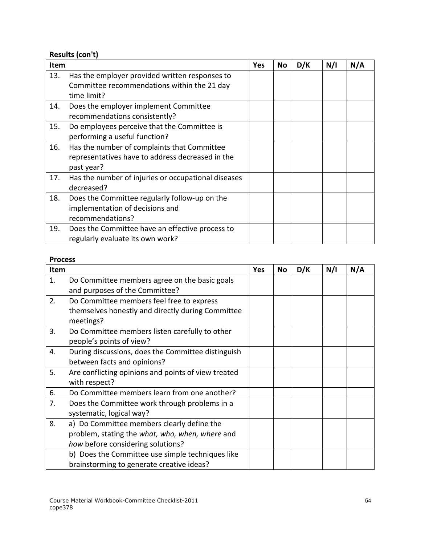# **Results (con't)**

| <b>Item</b> |                                                                                                               | Yes | No | D/K | N/I | N/A |
|-------------|---------------------------------------------------------------------------------------------------------------|-----|----|-----|-----|-----|
| 13.         | Has the employer provided written responses to<br>Committee recommendations within the 21 day<br>time limit?  |     |    |     |     |     |
| 14.         | Does the employer implement Committee<br>recommendations consistently?                                        |     |    |     |     |     |
| 15.         | Do employees perceive that the Committee is<br>performing a useful function?                                  |     |    |     |     |     |
| 16.         | Has the number of complaints that Committee<br>representatives have to address decreased in the<br>past year? |     |    |     |     |     |
| 17.         | Has the number of injuries or occupational diseases<br>decreased?                                             |     |    |     |     |     |
| 18.         | Does the Committee regularly follow-up on the<br>implementation of decisions and<br>recommendations?          |     |    |     |     |     |
| 19.         | Does the Committee have an effective process to<br>regularly evaluate its own work?                           |     |    |     |     |     |

## **Process**

| <b>Item</b> |                                                     | Yes | No | D/K | N/I | N/A |
|-------------|-----------------------------------------------------|-----|----|-----|-----|-----|
| 1.          | Do Committee members agree on the basic goals       |     |    |     |     |     |
|             | and purposes of the Committee?                      |     |    |     |     |     |
| 2.          | Do Committee members feel free to express           |     |    |     |     |     |
|             | themselves honestly and directly during Committee   |     |    |     |     |     |
|             | meetings?                                           |     |    |     |     |     |
| 3.          | Do Committee members listen carefully to other      |     |    |     |     |     |
|             | people's points of view?                            |     |    |     |     |     |
| 4.          | During discussions, does the Committee distinguish  |     |    |     |     |     |
|             | between facts and opinions?                         |     |    |     |     |     |
| 5.          | Are conflicting opinions and points of view treated |     |    |     |     |     |
|             | with respect?                                       |     |    |     |     |     |
| 6.          | Do Committee members learn from one another?        |     |    |     |     |     |
| 7.          | Does the Committee work through problems in a       |     |    |     |     |     |
|             | systematic, logical way?                            |     |    |     |     |     |
| 8.          | a) Do Committee members clearly define the          |     |    |     |     |     |
|             | problem, stating the what, who, when, where and     |     |    |     |     |     |
|             | how before considering solutions?                   |     |    |     |     |     |
|             | b) Does the Committee use simple techniques like    |     |    |     |     |     |
|             | brainstorming to generate creative ideas?           |     |    |     |     |     |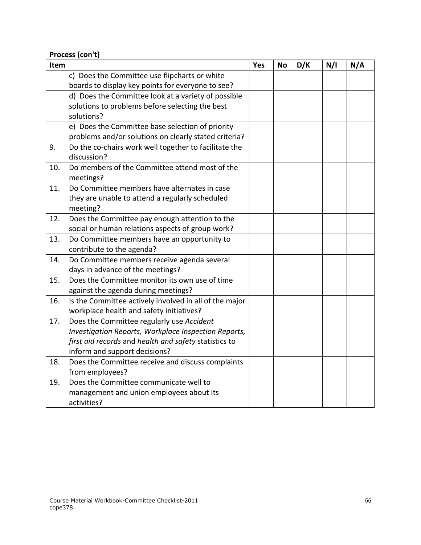**Process (con't)**

| Item |                                                                      | Yes | <b>No</b> | D/K | N/I | N/A |
|------|----------------------------------------------------------------------|-----|-----------|-----|-----|-----|
|      | c) Does the Committee use flipcharts or white                        |     |           |     |     |     |
|      | boards to display key points for everyone to see?                    |     |           |     |     |     |
|      | d) Does the Committee look at a variety of possible                  |     |           |     |     |     |
|      | solutions to problems before selecting the best                      |     |           |     |     |     |
|      | solutions?                                                           |     |           |     |     |     |
|      | e) Does the Committee base selection of priority                     |     |           |     |     |     |
|      | problems and/or solutions on clearly stated criteria?                |     |           |     |     |     |
| 9.   | Do the co-chairs work well together to facilitate the<br>discussion? |     |           |     |     |     |
| 10.  | Do members of the Committee attend most of the<br>meetings?          |     |           |     |     |     |
| 11.  | Do Committee members have alternates in case                         |     |           |     |     |     |
|      | they are unable to attend a regularly scheduled                      |     |           |     |     |     |
|      | meeting?                                                             |     |           |     |     |     |
| 12.  | Does the Committee pay enough attention to the                       |     |           |     |     |     |
|      | social or human relations aspects of group work?                     |     |           |     |     |     |
| 13.  | Do Committee members have an opportunity to                          |     |           |     |     |     |
|      | contribute to the agenda?                                            |     |           |     |     |     |
| 14.  | Do Committee members receive agenda several                          |     |           |     |     |     |
|      | days in advance of the meetings?                                     |     |           |     |     |     |
| 15.  | Does the Committee monitor its own use of time                       |     |           |     |     |     |
|      | against the agenda during meetings?                                  |     |           |     |     |     |
| 16.  | Is the Committee actively involved in all of the major               |     |           |     |     |     |
|      | workplace health and safety initiatives?                             |     |           |     |     |     |
| 17.  | Does the Committee regularly use Accident                            |     |           |     |     |     |
|      | Investigation Reports, Workplace Inspection Reports,                 |     |           |     |     |     |
|      | first aid records and health and safety statistics to                |     |           |     |     |     |
|      | inform and support decisions?                                        |     |           |     |     |     |
| 18.  | Does the Committee receive and discuss complaints                    |     |           |     |     |     |
|      | from employees?                                                      |     |           |     |     |     |
| 19.  | Does the Committee communicate well to                               |     |           |     |     |     |
|      | management and union employees about its                             |     |           |     |     |     |
|      | activities?                                                          |     |           |     |     |     |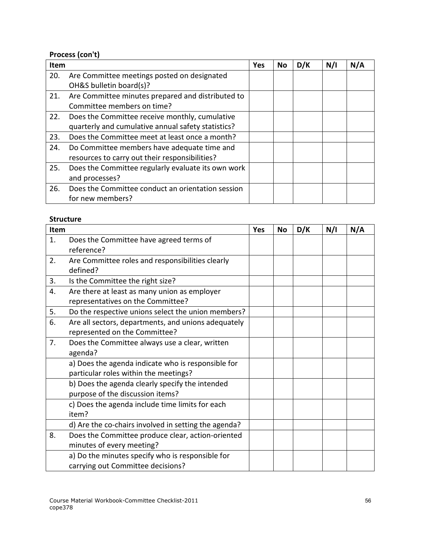# **Process (con't)**

| Item |                                                    | Yes | <b>No</b> | D/K | N/I | N/A |
|------|----------------------------------------------------|-----|-----------|-----|-----|-----|
| 20.  | Are Committee meetings posted on designated        |     |           |     |     |     |
|      | OH&S bulletin board(s)?                            |     |           |     |     |     |
| 21.  | Are Committee minutes prepared and distributed to  |     |           |     |     |     |
|      | Committee members on time?                         |     |           |     |     |     |
| 22.  | Does the Committee receive monthly, cumulative     |     |           |     |     |     |
|      | quarterly and cumulative annual safety statistics? |     |           |     |     |     |
| 23.  | Does the Committee meet at least once a month?     |     |           |     |     |     |
| 24.  | Do Committee members have adequate time and        |     |           |     |     |     |
|      | resources to carry out their responsibilities?     |     |           |     |     |     |
| 25.  | Does the Committee regularly evaluate its own work |     |           |     |     |     |
|      | and processes?                                     |     |           |     |     |     |
| 26.  | Does the Committee conduct an orientation session  |     |           |     |     |     |
|      | for new members?                                   |     |           |     |     |     |

#### **Structure**

| Item |                                                      | Yes | No | D/K | N/I | N/A |
|------|------------------------------------------------------|-----|----|-----|-----|-----|
| 1.   | Does the Committee have agreed terms of              |     |    |     |     |     |
|      | reference?                                           |     |    |     |     |     |
| 2.   | Are Committee roles and responsibilities clearly     |     |    |     |     |     |
|      | defined?                                             |     |    |     |     |     |
| 3.   | Is the Committee the right size?                     |     |    |     |     |     |
| 4.   | Are there at least as many union as employer         |     |    |     |     |     |
|      | representatives on the Committee?                    |     |    |     |     |     |
| 5.   | Do the respective unions select the union members?   |     |    |     |     |     |
| 6.   | Are all sectors, departments, and unions adequately  |     |    |     |     |     |
|      | represented on the Committee?                        |     |    |     |     |     |
| 7.   | Does the Committee always use a clear, written       |     |    |     |     |     |
|      | agenda?                                              |     |    |     |     |     |
|      | a) Does the agenda indicate who is responsible for   |     |    |     |     |     |
|      | particular roles within the meetings?                |     |    |     |     |     |
|      | b) Does the agenda clearly specify the intended      |     |    |     |     |     |
|      | purpose of the discussion items?                     |     |    |     |     |     |
|      | c) Does the agenda include time limits for each      |     |    |     |     |     |
|      | item?                                                |     |    |     |     |     |
|      | d) Are the co-chairs involved in setting the agenda? |     |    |     |     |     |
| 8.   | Does the Committee produce clear, action-oriented    |     |    |     |     |     |
|      | minutes of every meeting?                            |     |    |     |     |     |
|      | a) Do the minutes specify who is responsible for     |     |    |     |     |     |
|      | carrying out Committee decisions?                    |     |    |     |     |     |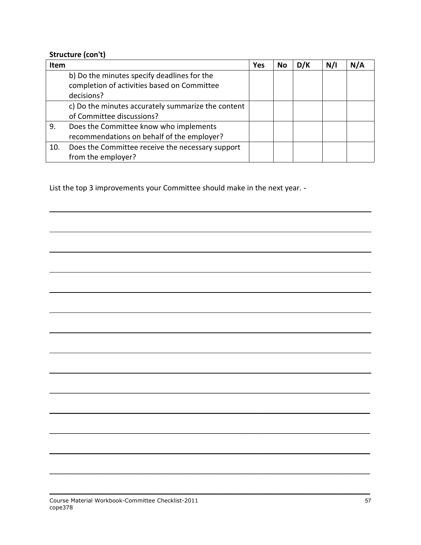#### **Structure (con't)**

l

l

| <b>Item</b> |                                                    | Yes | No | D/K | N/I | N/A |
|-------------|----------------------------------------------------|-----|----|-----|-----|-----|
|             | b) Do the minutes specify deadlines for the        |     |    |     |     |     |
|             | completion of activities based on Committee        |     |    |     |     |     |
|             | decisions?                                         |     |    |     |     |     |
|             | c) Do the minutes accurately summarize the content |     |    |     |     |     |
|             | of Committee discussions?                          |     |    |     |     |     |
| 9.          | Does the Committee know who implements             |     |    |     |     |     |
|             | recommendations on behalf of the employer?         |     |    |     |     |     |
| 10.         | Does the Committee receive the necessary support   |     |    |     |     |     |
|             | from the employer?                                 |     |    |     |     |     |

 $\mathcal{L}_\mathcal{L} = \mathcal{L}_\mathcal{L} = \mathcal{L}_\mathcal{L} = \mathcal{L}_\mathcal{L} = \mathcal{L}_\mathcal{L} = \mathcal{L}_\mathcal{L} = \mathcal{L}_\mathcal{L} = \mathcal{L}_\mathcal{L} = \mathcal{L}_\mathcal{L} = \mathcal{L}_\mathcal{L} = \mathcal{L}_\mathcal{L} = \mathcal{L}_\mathcal{L} = \mathcal{L}_\mathcal{L} = \mathcal{L}_\mathcal{L} = \mathcal{L}_\mathcal{L} = \mathcal{L}_\mathcal{L} = \mathcal{L}_\mathcal{L}$ 

 $\mathcal{L}_\mathcal{L} = \mathcal{L}_\mathcal{L} = \mathcal{L}_\mathcal{L} = \mathcal{L}_\mathcal{L} = \mathcal{L}_\mathcal{L} = \mathcal{L}_\mathcal{L} = \mathcal{L}_\mathcal{L} = \mathcal{L}_\mathcal{L} = \mathcal{L}_\mathcal{L} = \mathcal{L}_\mathcal{L} = \mathcal{L}_\mathcal{L} = \mathcal{L}_\mathcal{L} = \mathcal{L}_\mathcal{L} = \mathcal{L}_\mathcal{L} = \mathcal{L}_\mathcal{L} = \mathcal{L}_\mathcal{L} = \mathcal{L}_\mathcal{L}$ 

 $\mathcal{L}_\mathcal{L} = \mathcal{L}_\mathcal{L} = \mathcal{L}_\mathcal{L} = \mathcal{L}_\mathcal{L} = \mathcal{L}_\mathcal{L} = \mathcal{L}_\mathcal{L} = \mathcal{L}_\mathcal{L} = \mathcal{L}_\mathcal{L} = \mathcal{L}_\mathcal{L} = \mathcal{L}_\mathcal{L} = \mathcal{L}_\mathcal{L} = \mathcal{L}_\mathcal{L} = \mathcal{L}_\mathcal{L} = \mathcal{L}_\mathcal{L} = \mathcal{L}_\mathcal{L} = \mathcal{L}_\mathcal{L} = \mathcal{L}_\mathcal{L}$ 

 $\mathcal{L}_\mathcal{L} = \mathcal{L}_\mathcal{L} = \mathcal{L}_\mathcal{L} = \mathcal{L}_\mathcal{L} = \mathcal{L}_\mathcal{L} = \mathcal{L}_\mathcal{L} = \mathcal{L}_\mathcal{L} = \mathcal{L}_\mathcal{L} = \mathcal{L}_\mathcal{L} = \mathcal{L}_\mathcal{L} = \mathcal{L}_\mathcal{L} = \mathcal{L}_\mathcal{L} = \mathcal{L}_\mathcal{L} = \mathcal{L}_\mathcal{L} = \mathcal{L}_\mathcal{L} = \mathcal{L}_\mathcal{L} = \mathcal{L}_\mathcal{L}$ 

 $\mathcal{L}_\mathcal{L} = \mathcal{L}_\mathcal{L} = \mathcal{L}_\mathcal{L} = \mathcal{L}_\mathcal{L} = \mathcal{L}_\mathcal{L} = \mathcal{L}_\mathcal{L} = \mathcal{L}_\mathcal{L} = \mathcal{L}_\mathcal{L} = \mathcal{L}_\mathcal{L} = \mathcal{L}_\mathcal{L} = \mathcal{L}_\mathcal{L} = \mathcal{L}_\mathcal{L} = \mathcal{L}_\mathcal{L} = \mathcal{L}_\mathcal{L} = \mathcal{L}_\mathcal{L} = \mathcal{L}_\mathcal{L} = \mathcal{L}_\mathcal{L}$ 

 $\mathcal{L}_\mathcal{L} = \mathcal{L}_\mathcal{L} = \mathcal{L}_\mathcal{L} = \mathcal{L}_\mathcal{L} = \mathcal{L}_\mathcal{L} = \mathcal{L}_\mathcal{L} = \mathcal{L}_\mathcal{L} = \mathcal{L}_\mathcal{L} = \mathcal{L}_\mathcal{L} = \mathcal{L}_\mathcal{L} = \mathcal{L}_\mathcal{L} = \mathcal{L}_\mathcal{L} = \mathcal{L}_\mathcal{L} = \mathcal{L}_\mathcal{L} = \mathcal{L}_\mathcal{L} = \mathcal{L}_\mathcal{L} = \mathcal{L}_\mathcal{L}$ 

List the top 3 improvements your Committee should make in the next year. -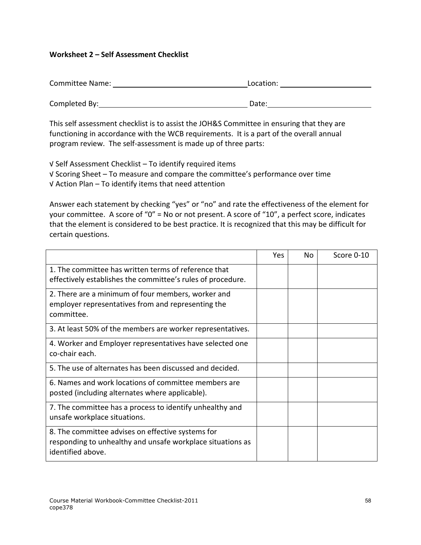### **Worksheet 2 – Self Assessment Checklist**

 Committee Name: Location: Completed By: Date:

 This self assessment checklist is to assist the JOH&S Committee in ensuring that they are functioning in accordance with the WCB requirements. It is a part of the overall annual program review. The self-assessment is made up of three parts:

 √ Self Assessment Checklist – To identify required items √ Scoring Sheet – To measure and compare the committee's performance over time √ Action Plan – To identify items that need attention

 Answer each statement by checking "yes" or "no" and rate the effectiveness of the element for your committee. A score of "0" = No or not present. A score of "10", a perfect score, indicates that the element is considered to be best practice. It is recognized that this may be difficult for certain questions.

|                                                                                                                                      | Yes | No. | Score 0-10 |
|--------------------------------------------------------------------------------------------------------------------------------------|-----|-----|------------|
| 1. The committee has written terms of reference that<br>effectively establishes the committee's rules of procedure.                  |     |     |            |
| 2. There are a minimum of four members, worker and<br>employer representatives from and representing the<br>committee.               |     |     |            |
| 3. At least 50% of the members are worker representatives.                                                                           |     |     |            |
| 4. Worker and Employer representatives have selected one<br>co-chair each.                                                           |     |     |            |
| 5. The use of alternates has been discussed and decided.                                                                             |     |     |            |
| 6. Names and work locations of committee members are<br>posted (including alternates where applicable).                              |     |     |            |
| 7. The committee has a process to identify unhealthy and<br>unsafe workplace situations.                                             |     |     |            |
| 8. The committee advises on effective systems for<br>responding to unhealthy and unsafe workplace situations as<br>identified above. |     |     |            |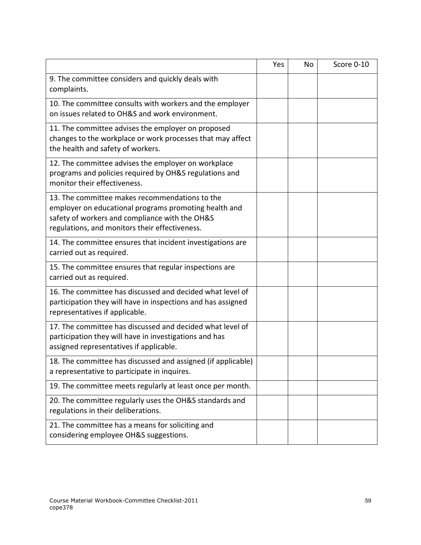|                                                                                                                                                                                                             | Yes | No. | Score 0-10 |
|-------------------------------------------------------------------------------------------------------------------------------------------------------------------------------------------------------------|-----|-----|------------|
| 9. The committee considers and quickly deals with<br>complaints.                                                                                                                                            |     |     |            |
| 10. The committee consults with workers and the employer<br>on issues related to OH&S and work environment.                                                                                                 |     |     |            |
| 11. The committee advises the employer on proposed<br>changes to the workplace or work processes that may affect<br>the health and safety of workers.                                                       |     |     |            |
| 12. The committee advises the employer on workplace<br>programs and policies required by OH&S regulations and<br>monitor their effectiveness.                                                               |     |     |            |
| 13. The committee makes recommendations to the<br>employer on educational programs promoting health and<br>safety of workers and compliance with the OH&S<br>regulations, and monitors their effectiveness. |     |     |            |
| 14. The committee ensures that incident investigations are<br>carried out as required.                                                                                                                      |     |     |            |
| 15. The committee ensures that regular inspections are<br>carried out as required.                                                                                                                          |     |     |            |
| 16. The committee has discussed and decided what level of<br>participation they will have in inspections and has assigned<br>representatives if applicable.                                                 |     |     |            |
| 17. The committee has discussed and decided what level of<br>participation they will have in investigations and has<br>assigned representatives if applicable.                                              |     |     |            |
| 18. The committee has discussed and assigned (if applicable)<br>a representative to participate in inquires.                                                                                                |     |     |            |
| 19. The committee meets regularly at least once per month.                                                                                                                                                  |     |     |            |
| 20. The committee regularly uses the OH&S standards and<br>regulations in their deliberations.                                                                                                              |     |     |            |
| 21. The committee has a means for soliciting and<br>considering employee OH&S suggestions.                                                                                                                  |     |     |            |